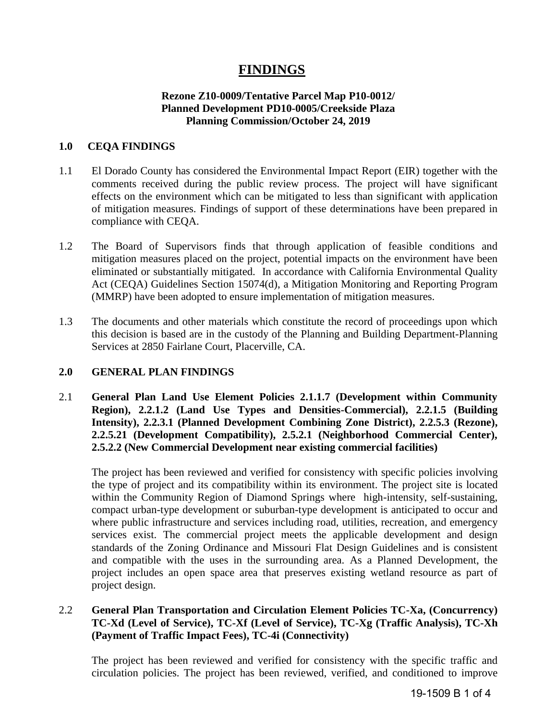# **FINDINGS**

# **Rezone Z10-0009/Tentative Parcel Map P10-0012/ Planned Development PD10-0005/Creekside Plaza Planning Commission/October 24, 2019**

#### **1.0 CEQA FINDINGS**

- 1.1 El Dorado County has considered the Environmental Impact Report (EIR) together with the comments received during the public review process. The project will have significant effects on the environment which can be mitigated to less than significant with application of mitigation measures. Findings of support of these determinations have been prepared in compliance with CEQA.
- 1.2 The Board of Supervisors finds that through application of feasible conditions and mitigation measures placed on the project, potential impacts on the environment have been eliminated or substantially mitigated. In accordance with California Environmental Quality Act (CEQA) Guidelines Section 15074(d), a Mitigation Monitoring and Reporting Program (MMRP) have been adopted to ensure implementation of mitigation measures.
- 1.3 The documents and other materials which constitute the record of proceedings upon which this decision is based are in the custody of the Planning and Building Department-Planning Services at 2850 Fairlane Court, Placerville, CA.

#### **2.0 GENERAL PLAN FINDINGS**

2.1 **General Plan Land Use Element Policies 2.1.1.7 (Development within Community Region), 2.2.1.2 (Land Use Types and Densities-Commercial), 2.2.1.5 (Building Intensity), 2.2.3.1 (Planned Development Combining Zone District), 2.2.5.3 (Rezone), 2.2.5.21 (Development Compatibility), 2.5.2.1 (Neighborhood Commercial Center), 2.5.2.2 (New Commercial Development near existing commercial facilities)** 

The project has been reviewed and verified for consistency with specific policies involving the type of project and its compatibility within its environment. The project site is located within the Community Region of Diamond Springs where high-intensity, self-sustaining, compact urban-type development or suburban-type development is anticipated to occur and where public infrastructure and services including road, utilities, recreation, and emergency services exist. The commercial project meets the applicable development and design standards of the Zoning Ordinance and Missouri Flat Design Guidelines and is consistent and compatible with the uses in the surrounding area. As a Planned Development, the project includes an open space area that preserves existing wetland resource as part of project design.

# 2.2 **General Plan Transportation and Circulation Element Policies TC-Xa, (Concurrency) TC-Xd (Level of Service), TC-Xf (Level of Service), TC-Xg (Traffic Analysis), TC-Xh (Payment of Traffic Impact Fees), TC-4i (Connectivity)**

The project has been reviewed and verified for consistency with the specific traffic and circulation policies. The project has been reviewed, verified, and conditioned to improve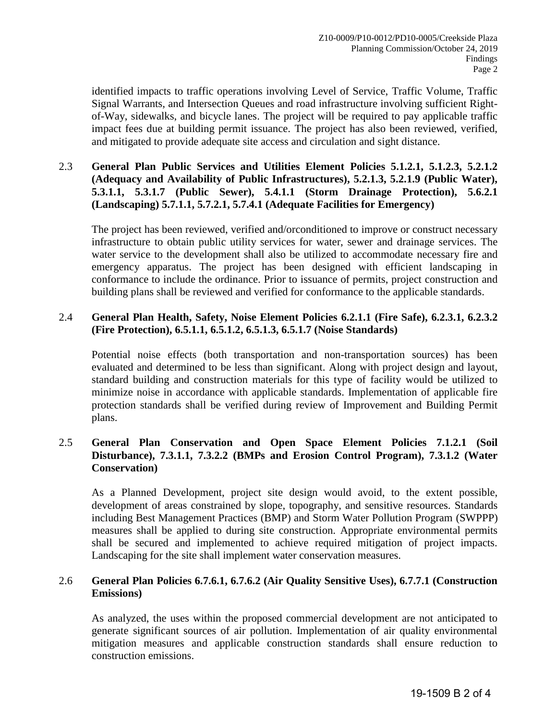identified impacts to traffic operations involving Level of Service, Traffic Volume, Traffic Signal Warrants, and Intersection Queues and road infrastructure involving sufficient Rightof-Way, sidewalks, and bicycle lanes. The project will be required to pay applicable traffic impact fees due at building permit issuance. The project has also been reviewed, verified, and mitigated to provide adequate site access and circulation and sight distance.

# 2.3 **General Plan Public Services and Utilities Element Policies 5.1.2.1, 5.1.2.3, 5.2.1.2 (Adequacy and Availability of Public Infrastructures), 5.2.1.3, 5.2.1.9 (Public Water), 5.3.1.1, 5.3.1.7 (Public Sewer), 5.4.1.1 (Storm Drainage Protection), 5.6.2.1 (Landscaping) 5.7.1.1, 5.7.2.1, 5.7.4.1 (Adequate Facilities for Emergency)**

The project has been reviewed, verified and/orconditioned to improve or construct necessary infrastructure to obtain public utility services for water, sewer and drainage services. The water service to the development shall also be utilized to accommodate necessary fire and emergency apparatus. The project has been designed with efficient landscaping in conformance to include the ordinance. Prior to issuance of permits, project construction and building plans shall be reviewed and verified for conformance to the applicable standards.

# 2.4 **General Plan Health, Safety, Noise Element Policies 6.2.1.1 (Fire Safe), 6.2.3.1, 6.2.3.2 (Fire Protection), 6.5.1.1, 6.5.1.2, 6.5.1.3, 6.5.1.7 (Noise Standards)**

Potential noise effects (both transportation and non-transportation sources) has been evaluated and determined to be less than significant. Along with project design and layout, standard building and construction materials for this type of facility would be utilized to minimize noise in accordance with applicable standards. Implementation of applicable fire protection standards shall be verified during review of Improvement and Building Permit plans.

# 2.5 **General Plan Conservation and Open Space Element Policies 7.1.2.1 (Soil Disturbance), 7.3.1.1, 7.3.2.2 (BMPs and Erosion Control Program), 7.3.1.2 (Water Conservation)**

As a Planned Development, project site design would avoid, to the extent possible, development of areas constrained by slope, topography, and sensitive resources. Standards including Best Management Practices (BMP) and Storm Water Pollution Program (SWPPP) measures shall be applied to during site construction. Appropriate environmental permits shall be secured and implemented to achieve required mitigation of project impacts. Landscaping for the site shall implement water conservation measures.

#### 2.6 **General Plan Policies 6.7.6.1, 6.7.6.2 (Air Quality Sensitive Uses), 6.7.7.1 (Construction Emissions)**

As analyzed, the uses within the proposed commercial development are not anticipated to generate significant sources of air pollution. Implementation of air quality environmental mitigation measures and applicable construction standards shall ensure reduction to construction emissions.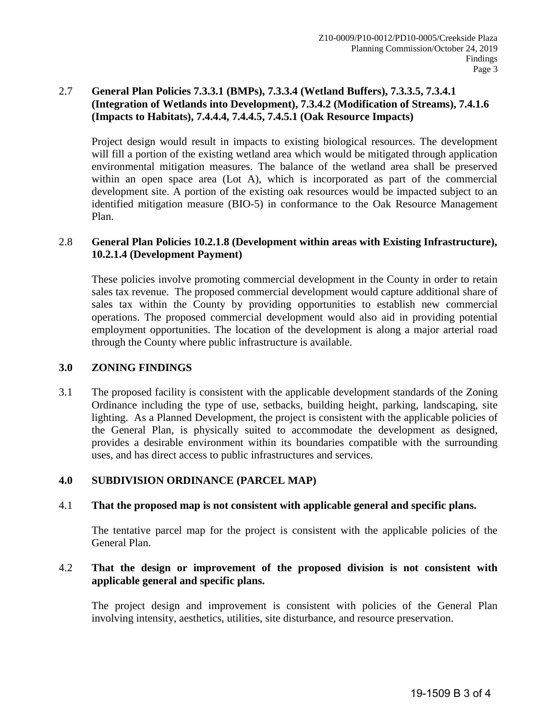# 2.7 **General Plan Policies 7.3.3.1 (BMPs), 7.3.3.4 (Wetland Buffers), 7.3.3.5, 7.3.4.1 (Integration of Wetlands into Development), 7.3.4.2 (Modification of Streams), 7.4.1.6 (Impacts to Habitats), 7.4.4.4, 7.4.4.5, 7.4.5.1 (Oak Resource Impacts)**

Project design would result in impacts to existing biological resources. The development will fill a portion of the existing wetland area which would be mitigated through application environmental mitigation measures. The balance of the wetland area shall be preserved within an open space area (Lot A), which is incorporated as part of the commercial development site. A portion of the existing oak resources would be impacted subject to an identified mitigation measure (BIO-5) in conformance to the Oak Resource Management Plan.

# 2.8 **General Plan Policies 10.2.1.8 (Development within areas with Existing Infrastructure), 10.2.1.4 (Development Payment)**

These policies involve promoting commercial development in the County in order to retain sales tax revenue. The proposed commercial development would capture additional share of sales tax within the County by providing opportunities to establish new commercial operations. The proposed commercial development would also aid in providing potential employment opportunities. The location of the development is along a major arterial road through the County where public infrastructure is available.

# **3.0 ZONING FINDINGS**

3.1 The proposed facility is consistent with the applicable development standards of the Zoning Ordinance including the type of use, setbacks, building height, parking, landscaping, site lighting. As a Planned Development, the project is consistent with the applicable policies of the General Plan, is physically suited to accommodate the development as designed, provides a desirable environment within its boundaries compatible with the surrounding uses, and has direct access to public infrastructures and services.

# **4.0 SUBDIVISION ORDINANCE (PARCEL MAP)**

# 4.1 **That the proposed map is not consistent with applicable general and specific plans.**

The tentative parcel map for the project is consistent with the applicable policies of the General Plan.

# 4.2 **That the design or improvement of the proposed division is not consistent with applicable general and specific plans.**

The project design and improvement is consistent with policies of the General Plan involving intensity, aesthetics, utilities, site disturbance, and resource preservation.